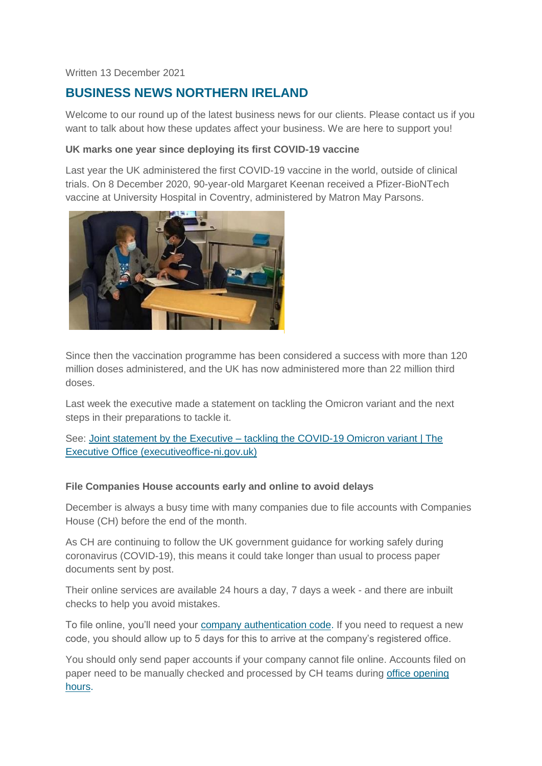#### Written 13 December 2021

# **BUSINESS NEWS NORTHERN IRELAND**

Welcome to our round up of the latest business news for our clients. Please contact us if you want to talk about how these updates affect your business. We are here to support you!

#### **UK marks one year since deploying its first COVID-19 vaccine**

Last year the UK administered the first COVID-19 vaccine in the world, outside of clinical trials. On 8 December 2020, 90-year-old Margaret Keenan received a Pfizer-BioNTech vaccine at University Hospital in Coventry, administered by Matron May Parsons.



Since then the vaccination programme has been considered a success with more than 120 million doses administered, and the UK has now administered more than 22 million third doses.

Last week the executive made a statement on tackling the Omicron variant and the next steps in their preparations to tackle it.

See: Joint statement by the Executive – [tackling the COVID-19 Omicron variant | The](http://www.executiveoffice-ni.gov.uk/news/joint-statement-by-executive-tackling-covid-19-omicron-variant)  [Executive Office \(executiveoffice-ni.gov.uk\)](http://www.executiveoffice-ni.gov.uk/news/joint-statement-by-executive-tackling-covid-19-omicron-variant)

#### **File Companies House accounts early and online to avoid delays**

December is always a busy time with many companies due to file accounts with Companies House (CH) before the end of the month.

As CH are continuing to follow the UK government guidance for working safely during coronavirus (COVID-19), this means it could take longer than usual to process paper documents sent by post.

Their online services are available 24 hours a day, 7 days a week - and there are inbuilt checks to help you avoid mistakes.

To file online, you'll need your [company authentication code.](https://www.gov.uk/guidance/company-authentication-codes-for-online-filing) If you need to request a new code, you should allow up to 5 days for this to arrive at the company's registered office.

You should only send paper accounts if your company cannot file online. Accounts filed on paper need to be manually checked and processed by CH teams during [office opening](https://www.gov.uk/government/organisations/companies-house/about/access-and-opening)  [hours.](https://www.gov.uk/government/organisations/companies-house/about/access-and-opening)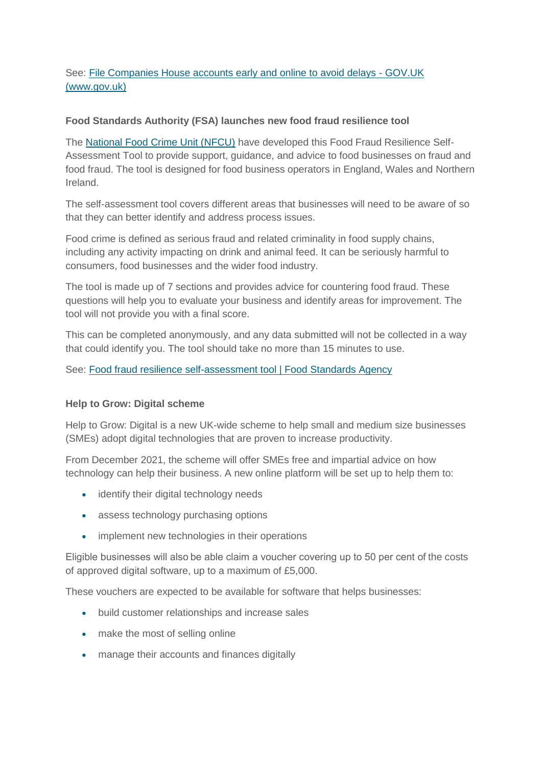# See: [File Companies House accounts early and online to avoid delays -](https://www.gov.uk/government/news/file-companies-house-accounts-early-and-online-to-avoid-delays) GOV.UK [\(www.gov.uk\)](https://www.gov.uk/government/news/file-companies-house-accounts-early-and-online-to-avoid-delays)

### **Food Standards Authority (FSA) launches new food fraud resilience tool**

The [National Food Crime Unit \(NFCU\)](https://www.food.gov.uk/about-us/national-food-crime-unit) have developed this Food Fraud Resilience Self-Assessment Tool to provide support, guidance, and advice to food businesses on fraud and food fraud. The tool is designed for food business operators in England, Wales and Northern Ireland.

The self-assessment tool covers different areas that businesses will need to be aware of so that they can better identify and address process issues.

Food crime is defined as serious fraud and related criminality in food supply chains, including any activity impacting on drink and animal feed. It can be seriously harmful to consumers, food businesses and the wider food industry.

The tool is made up of 7 sections and provides advice for countering food fraud. These questions will help you to evaluate your business and identify areas for improvement. The tool will not provide you with a final score.

This can be completed anonymously, and any data submitted will not be collected in a way that could identify you. The tool should take no more than 15 minutes to use.

See: [Food fraud resilience self-assessment tool | Food Standards Agency](https://www.food.gov.uk/food-fraud-resilience-self-assessment-tool)

#### **Help to Grow: Digital scheme**

Help to Grow: Digital is a new UK-wide scheme to help small and medium size businesses (SMEs) adopt digital technologies that are proven to increase productivity.

From December 2021, the scheme will offer SMEs free and impartial advice on how technology can help their business. A new online platform will be set up to help them to:

- identify their digital technology needs
- assess technology purchasing options
- implement new technologies in their operations

Eligible businesses will also be able claim a voucher covering up to 50 per cent of the costs of approved digital software, up to a maximum of £5,000.

These vouchers are expected to be available for software that helps businesses:

- build customer relationships and increase sales
- make the most of selling online
- manage their accounts and finances digitally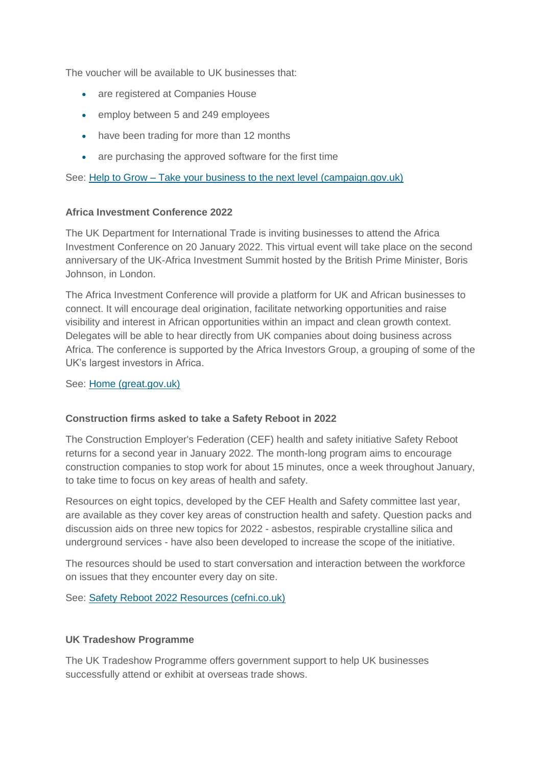The voucher will be available to UK businesses that:

- are registered at Companies House
- employ between 5 and 249 employees
- have been trading for more than 12 months
- are purchasing the approved software for the first time

See: Help to Grow – [Take your business to the next level \(campaign.gov.uk\)](https://helptogrow.campaign.gov.uk/?utm_campaign=helptogrow_digital&utm_medium=organic&utm_source=too&utm_content=toolkit)

#### **Africa Investment Conference 2022**

The UK Department for International Trade is inviting businesses to attend the Africa Investment Conference on 20 January 2022. This virtual event will take place on the second anniversary of the UK-Africa Investment Summit hosted by the British Prime Minister, Boris Johnson, in London.

The Africa Investment Conference will provide a platform for UK and African businesses to connect. It will encourage deal origination, facilitate networking opportunities and raise visibility and interest in African opportunities within an impact and clean growth context. Delegates will be able to hear directly from UK companies about doing business across Africa. The conference is supported by the Africa Investors Group, a grouping of some of the UK's largest investors in Africa.

See: [Home \(great.gov.uk\)](https://www.events.great.gov.uk/website/6151/)

#### **Construction firms asked to take a Safety Reboot in 2022**

The Construction Employer's Federation (CEF) health and safety initiative Safety Reboot returns for a second year in January 2022. The month-long program aims to encourage construction companies to stop work for about 15 minutes, once a week throughout January, to take time to focus on key areas of health and safety.

Resources on eight topics, developed by the CEF Health and Safety committee last year, are available as they cover key areas of construction health and safety. Question packs and discussion aids on three new topics for 2022 - asbestos, respirable crystalline silica and underground services - have also been developed to increase the scope of the initiative.

The resources should be used to start conversation and interaction between the workforce on issues that they encounter every day on site.

See: [Safety Reboot 2022 Resources \(cefni.co.uk\)](https://www.cefni.co.uk/news/safety-reboot-2022-resources)

#### **UK Tradeshow Programme**

The UK Tradeshow Programme offers government support to help UK businesses successfully attend or exhibit at overseas trade shows.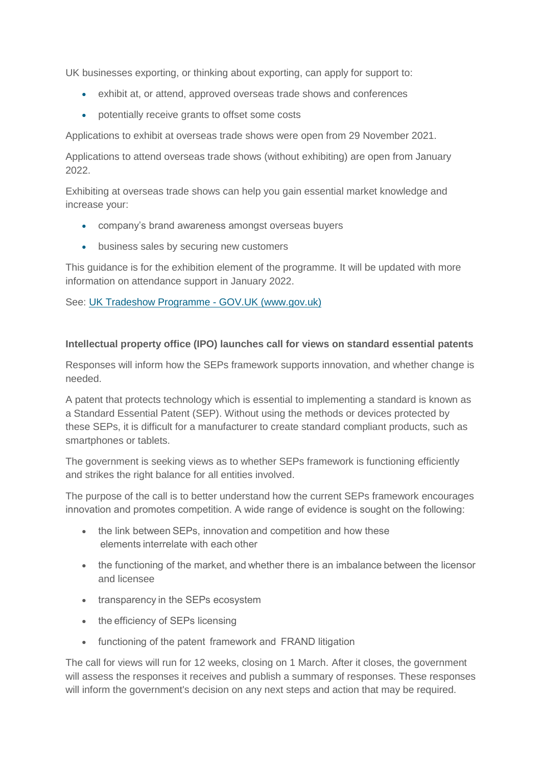UK businesses exporting, or thinking about exporting, can apply for support to:

- exhibit at, or attend, approved overseas trade shows and conferences
- potentially receive grants to offset some costs

Applications to exhibit at overseas trade shows were open from 29 November 2021.

Applications to attend overseas trade shows (without exhibiting) are open from January 2022.

Exhibiting at overseas trade shows can help you gain essential market knowledge and increase your:

- company's brand awareness amongst overseas buyers
- business sales by securing new customers

This guidance is for the exhibition element of the programme. It will be updated with more information on attendance support in January 2022.

### See: [UK Tradeshow Programme -](https://www.gov.uk/guidance/uk-tradeshow-programme#eligibility) GOV.UK (www.gov.uk)

### **Intellectual property office (IPO) launches call for views on standard essential patents**

Responses will inform how the SEPs framework supports innovation, and whether change is needed.

A patent that protects technology which is essential to implementing a standard is known as a Standard Essential Patent (SEP). Without using the methods or devices protected by these SEPs, it is difficult for a manufacturer to create standard compliant products, such as smartphones or tablets.

The government is seeking views as to whether SEPs framework is functioning efficiently and strikes the right balance for all entities involved.

The purpose of the call is to better understand how the current SEPs framework encourages innovation and promotes competition. A wide range of evidence is sought on the following:  

- the link between SEPs, innovation and competition and how these elements interrelate with each other
- the functioning of the market, and whether there is an imbalance between the licensor and licensee
- transparency in the SEPs ecosystem
- the efficiency of SEPs licensing
- functioning of the patent  framework and  FRAND litigation

The call for views will run for 12 weeks, closing on 1 March. After it closes, the government will assess the responses it receives and publish a summary of responses. These responses will inform the government's decision on any next steps and action that may be required.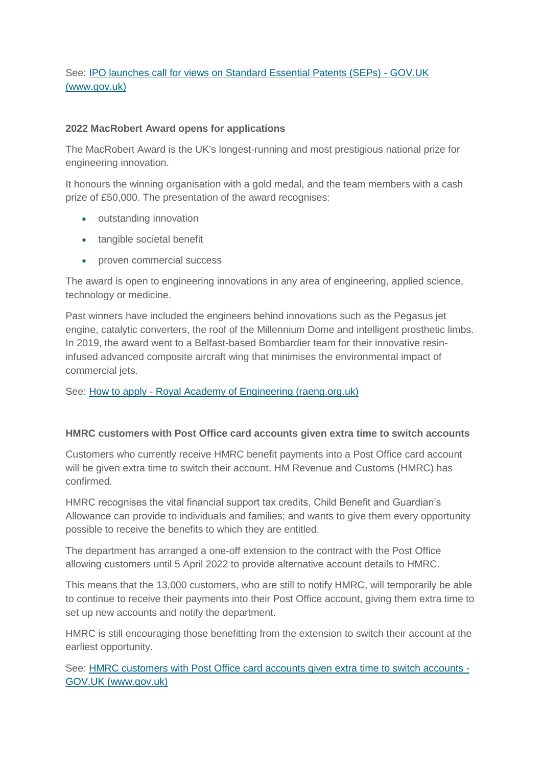# See: [IPO launches call for views on Standard Essential Patents \(SEPs\) -](https://www.gov.uk/government/news/ipo-launches-call-for-views-on-standard-essential-patents-seps) GOV.UK [\(www.gov.uk\)](https://www.gov.uk/government/news/ipo-launches-call-for-views-on-standard-essential-patents-seps)

### **2022 MacRobert Award opens for applications**

The MacRobert Award is the UK's longest-running and most prestigious national prize for engineering innovation.

It honours the winning organisation with a gold medal, and the team members with a cash prize of £50,000. The presentation of the award recognises:

- outstanding innovation
- tangible societal benefit
- proven commercial success

The award is open to engineering innovations in any area of engineering, applied science, technology or medicine.

Past winners have included the engineers behind innovations such as the Pegasus jet engine, catalytic converters, the roof of the Millennium Dome and intelligent prosthetic limbs. In 2019, the award went to a Belfast-based Bombardier team for their innovative resininfused advanced composite aircraft wing that minimises the environmental impact of commercial jets.

#### See: How to apply - [Royal Academy of Engineering \(raeng.org.uk\)](https://www.raeng.org.uk/grants-prizes/prizes/prizes-and-medals/awards/the-macrobert-award-engineering-innovation/how-to-apply-macrobert-engineering-innovation)

#### **HMRC customers with Post Office card accounts given extra time to switch accounts**

Customers who currently receive HMRC benefit payments into a Post Office card account will be given extra time to switch their account, HM Revenue and Customs (HMRC) has confirmed.

HMRC recognises the vital financial support tax credits, Child Benefit and Guardian's Allowance can provide to individuals and families; and wants to give them every opportunity possible to receive the benefits to which they are entitled.

The department has arranged a one-off extension to the contract with the Post Office allowing customers until 5 April 2022 to provide alternative account details to HMRC.

This means that the 13,000 customers, who are still to notify HMRC, will temporarily be able to continue to receive their payments into their Post Office account, giving them extra time to set up new accounts and notify the department.

HMRC is still encouraging those benefitting from the extension to switch their account at the earliest opportunity.

See: [HMRC customers with Post Office card accounts given extra time to switch accounts -](https://www.gov.uk/government/news/hmrc-customers-with-post-office-card-accounts-given-extra-time-to-switch-accounts) [GOV.UK \(www.gov.uk\)](https://www.gov.uk/government/news/hmrc-customers-with-post-office-card-accounts-given-extra-time-to-switch-accounts)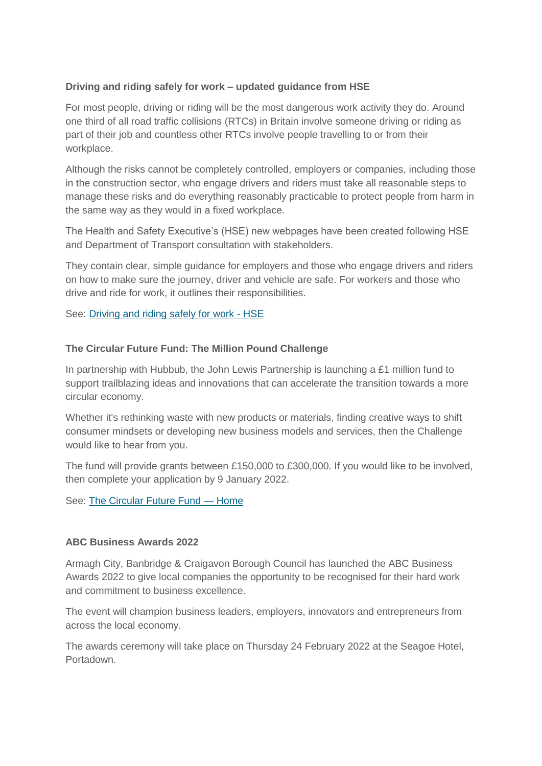# **Driving and riding safely for work – updated guidance from HSE**

For most people, driving or riding will be the most dangerous work activity they do. Around one third of all road traffic collisions (RTCs) in Britain involve someone driving or riding as part of their job and countless other RTCs involve people travelling to or from their workplace.

Although the risks cannot be completely controlled, employers or companies, including those in the construction sector, who engage drivers and riders must take all reasonable steps to manage these risks and do everything reasonably practicable to protect people from harm in the same way as they would in a fixed workplace.

The Health and Safety Executive's (HSE) new webpages have been created following HSE and Department of Transport consultation with stakeholders.

They contain clear, simple guidance for employers and those who engage drivers and riders on how to make sure the journey, driver and vehicle are safe. For workers and those who drive and ride for work, it outlines their responsibilities.

See: [Driving and riding safely for work -](https://www.hse.gov.uk/roadsafety/index.htm?utm_source=govdelivery&utm_medium=email&utm_campaign=guidance-push&utm_term=other-1&utm_content=construction-nov-21) HSE

# **The Circular Future Fund: The Million Pound Challenge**

In partnership with Hubbub, the John Lewis Partnership is launching a £1 million fund to support trailblazing ideas and innovations that can accelerate the transition towards a more circular economy.

Whether it's rethinking waste with new products or materials, finding creative ways to shift consumer mindsets or developing new business models and services, then the Challenge would like to hear from you.

The fund will provide grants between £150,000 to £300,000. If you would like to be involved, then complete your application by 9 January 2022.

See: [The Circular Future Fund —](https://www.circularfuturefund.co.uk/about) Home

#### **ABC Business Awards 2022**

Armagh City, Banbridge & Craigavon Borough Council has launched the ABC Business Awards 2022 to give local companies the opportunity to be recognised for their hard work and commitment to business excellence.

The event will champion business leaders, employers, innovators and entrepreneurs from across the local economy.

The awards ceremony will take place on Thursday 24 February 2022 at the Seagoe Hotel, Portadown.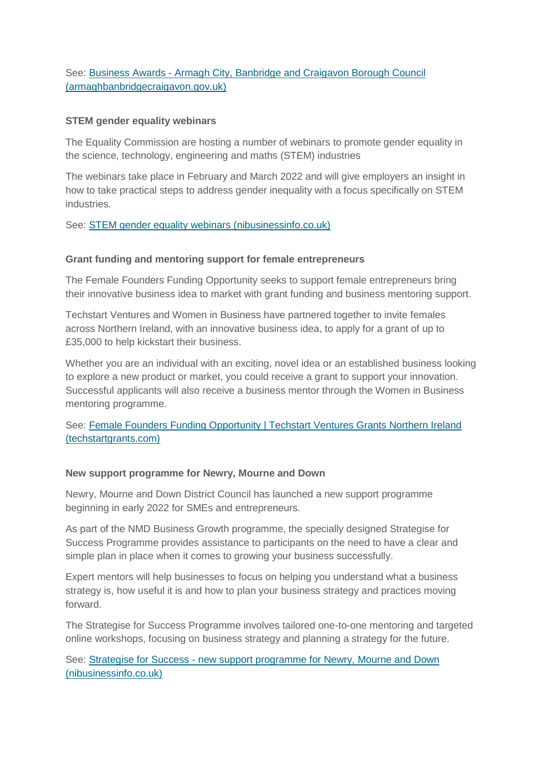See: Business Awards - Armagh City, [Banbridge and Craigavon Borough Council](https://www.armaghbanbridgecraigavon.gov.uk/business/business-awards/#abcbusinessawards2022)  [\(armaghbanbridgecraigavon.gov.uk\)](https://www.armaghbanbridgecraigavon.gov.uk/business/business-awards/#abcbusinessawards2022)

### **STEM gender equality webinars**

The Equality Commission are hosting a number of webinars to promote gender equality in the science, technology, engineering and maths (STEM) industries

The webinars take place in February and March 2022 and will give employers an insight in how to take practical steps to address gender inequality with a focus specifically on STEM industries.

See: [STEM gender equality webinars \(nibusinessinfo.co.uk\)](https://www.nibusinessinfo.co.uk/content/stem-gender-equality-webinars)

### **Grant funding and mentoring support for female entrepreneurs**

The Female Founders Funding Opportunity seeks to support female entrepreneurs bring their innovative business idea to market with grant funding and business mentoring support.

Techstart Ventures and Women in Business have partnered together to invite females across Northern Ireland, with an innovative business idea, to apply for a grant of up to £35,000 to help kickstart their business.

Whether you are an individual with an exciting, novel idea or an established business looking to explore a new product or market, you could receive a grant to support your innovation. Successful applicants will also receive a business mentor through the Women in Business mentoring programme.

# See: [Female Founders Funding Opportunity | Techstart Ventures Grants Northern Ireland](https://www.techstartgrants.com/femalefounders)  [\(techstartgrants.com\)](https://www.techstartgrants.com/femalefounders)

# **New support programme for Newry, Mourne and Down**

Newry, Mourne and Down District Council has launched a new support programme beginning in early 2022 for SMEs and entrepreneurs.

As part of the NMD Business Growth programme, the specially designed Strategise for Success Programme provides assistance to participants on the need to have a clear and simple plan in place when it comes to growing your business successfully.

Expert mentors will help businesses to focus on helping you understand what a business strategy is, how useful it is and how to plan your business strategy and practices moving forward.

The Strategise for Success Programme involves tailored one-to-one mentoring and targeted online workshops, focusing on business strategy and planning a strategy for the future.

See: Strategise for Success - [new support programme for Newry, Mourne and Down](https://www.nibusinessinfo.co.uk/content/strategise-success-new-support-programme-newry-mourne-and-down)  [\(nibusinessinfo.co.uk\)](https://www.nibusinessinfo.co.uk/content/strategise-success-new-support-programme-newry-mourne-and-down)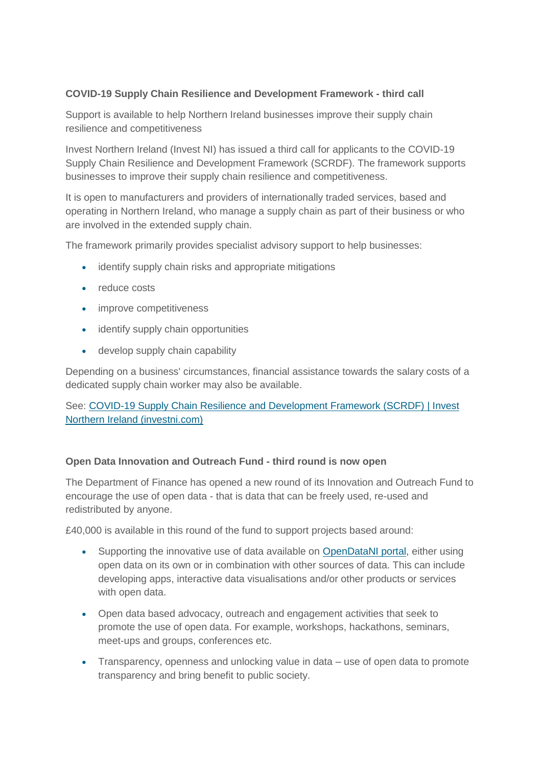# **COVID-19 Supply Chain Resilience and Development Framework - third call**

Support is available to help Northern Ireland businesses improve their supply chain resilience and competitiveness

Invest Northern Ireland (Invest NI) has issued a third call for applicants to the COVID-19 Supply Chain Resilience and Development Framework (SCRDF). The framework supports businesses to improve their supply chain resilience and competitiveness.

It is open to manufacturers and providers of internationally traded services, based and operating in Northern Ireland, who manage a supply chain as part of their business or who are involved in the extended supply chain.

The framework primarily provides specialist advisory support to help businesses:

- identify supply chain risks and appropriate mitigations
- reduce costs
- improve competitiveness
- identify supply chain opportunities
- develop supply chain capability

Depending on a business' circumstances, financial assistance towards the salary costs of a dedicated supply chain worker may also be available.

See: [COVID-19 Supply Chain Resilience and Development Framework \(SCRDF\) | Invest](https://www.investni.com/covid-19-supply-chain-resilience-and-development-framework)  [Northern Ireland \(investni.com\)](https://www.investni.com/covid-19-supply-chain-resilience-and-development-framework)

# **Open Data Innovation and Outreach Fund - third round is now open**

The Department of Finance has opened a new round of its Innovation and Outreach Fund to encourage the use of open data - that is data that can be freely used, re-used and redistributed by anyone.

£40,000 is available in this round of the fund to support projects based around:

- Supporting the innovative use of data available on [OpenDataNI portal,](https://www.opendatani.gov.uk/) either using open data on its own or in combination with other sources of data. This can include developing apps, interactive data visualisations and/or other products or services with open data.
- Open data based advocacy, outreach and engagement activities that seek to promote the use of open data. For example, workshops, hackathons, seminars, meet-ups and groups, conferences etc.
- Transparency, openness and unlocking value in data use of open data to promote transparency and bring benefit to public society.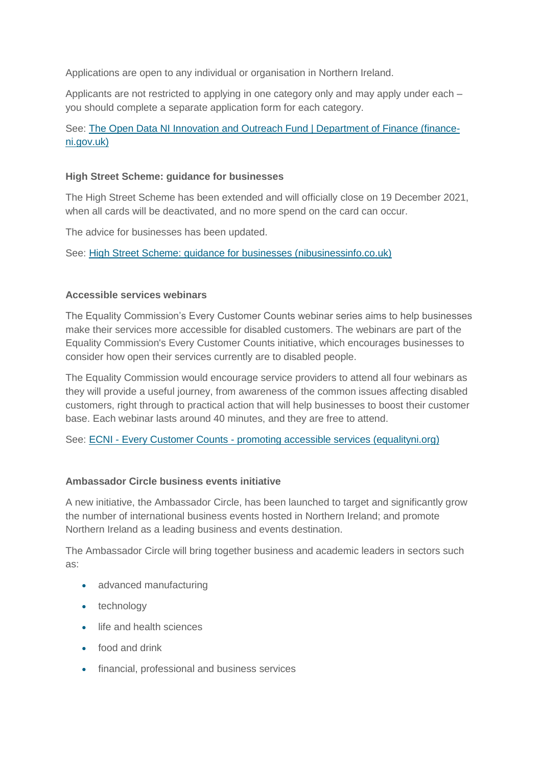Applications are open to any individual or organisation in Northern Ireland.

Applicants are not restricted to applying in one category only and may apply under each – you should complete a separate application form for each category.

# See: [The Open Data NI Innovation and Outreach Fund | Department of Finance \(finance](https://www.finance-ni.gov.uk/publications/open-data-ni-innovation-and-outreach-fund)[ni.gov.uk\)](https://www.finance-ni.gov.uk/publications/open-data-ni-innovation-and-outreach-fund)

#### **High Street Scheme: guidance for businesses**

The High Street Scheme has been extended and will officially close on 19 December 2021, when all cards will be deactivated, and no more spend on the card can occur.

The advice for businesses has been updated.

See: [High Street Scheme: guidance for businesses \(nibusinessinfo.co.uk\)](https://www.nibusinessinfo.co.uk/content/high-street-scheme-guidance-businesses)

### **Accessible services webinars**

The Equality Commission's Every Customer Counts webinar series aims to help businesses make their services more accessible for disabled customers. The webinars are part of the Equality Commission's Every Customer Counts initiative, which encourages businesses to consider how open their services currently are to disabled people.

The Equality Commission would encourage service providers to attend all four webinars as they will provide a useful journey, from awareness of the common issues affecting disabled customers, right through to practical action that will help businesses to boost their customer base. Each webinar lasts around 40 minutes, and they are free to attend.

See: ECNI - Every Customer Counts - [promoting accessible services \(equalityni.org\)](https://www.equalityni.org/everycustomercounts)

#### **Ambassador Circle business events initiative**

A new initiative, the Ambassador Circle, has been launched to target and significantly grow the number of international business events hosted in Northern Ireland; and promote Northern Ireland as a leading business and events destination.

The Ambassador Circle will bring together business and academic leaders in sectors such as:

- advanced manufacturing
- technology
- **.** life and health sciences
- food and drink
- financial, professional and business services